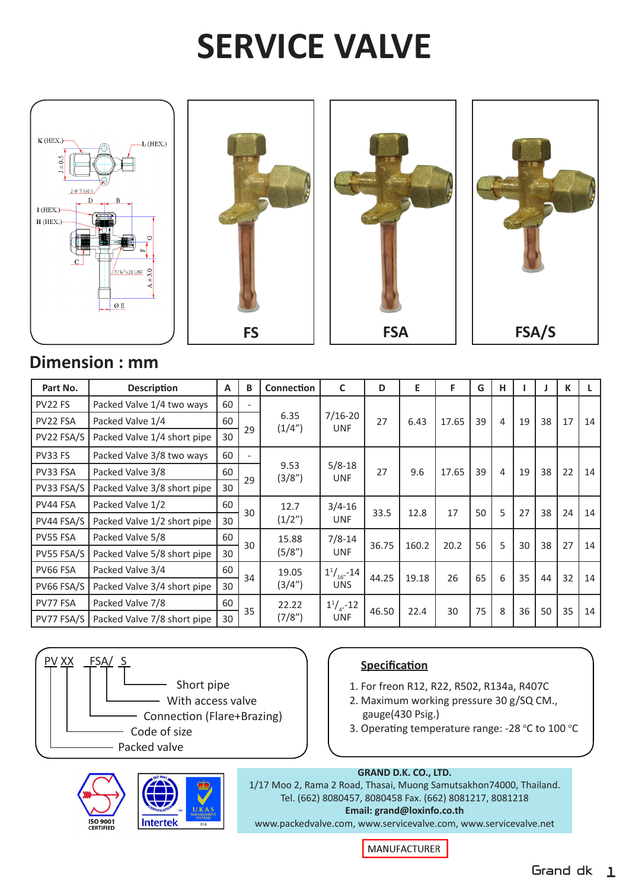# **SERVICE VALVE**



## **Dimension : mm**

| Part No.   | <b>Description</b>          | A  | B  | Connection      | C                                         | D     | Е     | F     | G  | н |    |    | К  |    |
|------------|-----------------------------|----|----|-----------------|-------------------------------------------|-------|-------|-------|----|---|----|----|----|----|
| PV22 FS    | Packed Valve 1/4 two ways   | 60 | 29 | 6.35<br>(1/4")  | $7/16 - 20$<br><b>UNF</b>                 | 27    | 6.43  | 17.65 | 39 | 4 | 19 | 38 | 17 | 14 |
| PV22 FSA   | Packed Valve 1/4            | 60 |    |                 |                                           |       |       |       |    |   |    |    |    |    |
| PV22 FSA/S | Packed Valve 1/4 short pipe | 30 |    |                 |                                           |       |       |       |    |   |    |    |    |    |
| PV33 FS    | Packed Valve 3/8 two ways   | 60 | 29 | 9.53<br>(3/8")  | $5/8 - 18$<br><b>UNF</b>                  | 27    | 9.6   | 17.65 | 39 | 4 | 19 | 38 | 22 | 14 |
| PV33 FSA   | Packed Valve 3/8            | 60 |    |                 |                                           |       |       |       |    |   |    |    |    |    |
| PV33 FSA/S | Packed Valve 3/8 short pipe | 30 |    |                 |                                           |       |       |       |    |   |    |    |    |    |
| PV44 FSA   | Packed Valve 1/2            | 60 | 30 | 12.7<br>(1/2")  | $3/4 - 16$<br><b>UNF</b>                  | 33.5  | 12.8  | 17    | 50 | 5 | 27 | 38 | 24 | 14 |
| PV44 FSA/S | Packed Valve 1/2 short pipe | 30 |    |                 |                                           |       |       |       |    |   |    |    |    |    |
| PV55 FSA   | Packed Valve 5/8            | 60 | 30 | 15.88<br>(5/8") | $7/8 - 14$<br><b>UNF</b>                  | 36.75 | 160.2 | 20.2  | 56 | 5 | 30 | 38 | 27 | 14 |
| PV55 FSA/S | Packed Valve 5/8 short pipe | 30 |    |                 |                                           |       |       |       |    |   |    |    |    |    |
| PV66 FSA   | Packed Valve 3/4            | 60 | 34 | 19.05<br>(3/4") | $1^{1}/$ <sub>16"</sub> -14<br><b>UNS</b> | 44.25 | 19.18 | 26    | 65 | 6 | 35 | 44 | 32 | 14 |
| PV66 FSA/S | Packed Valve 3/4 short pipe | 30 |    |                 |                                           |       |       |       |    |   |    |    |    |    |
| PV77 FSA   | Packed Valve 7/8            | 60 | 35 | 22.22<br>(7/8") | $1^{1}/$ <sub>4"</sub> -12<br><b>UNF</b>  | 46.50 | 22.4  | 30    | 75 | 8 | 36 | 50 | 35 | 14 |
| PV77 FSA/S | Packed Valve 7/8 short pipe | 30 |    |                 |                                           |       |       |       |    |   |    |    |    |    |



1. For freon R12, R22, R502, R134a, R407C

- 2. Maximum working pressure 30 g/SQ CM., gauge(430 Psig.)
- 3. Operating temperature range: -28 °C to 100 °C





### **GRAND D.K. CO., LTD.**

1/17 Moo 2, Rama 2 Road, Thasai, Muong Samutsakhon74000, Thailand. Tel. (662) 8080457, 8080458 Fax. (662) 8081217, 8081218 **Email: grand@loxinfo.co.th**

www.packedvalve.com, www.servicevalve.com, www.servicevalve.net

MANUFACTURER